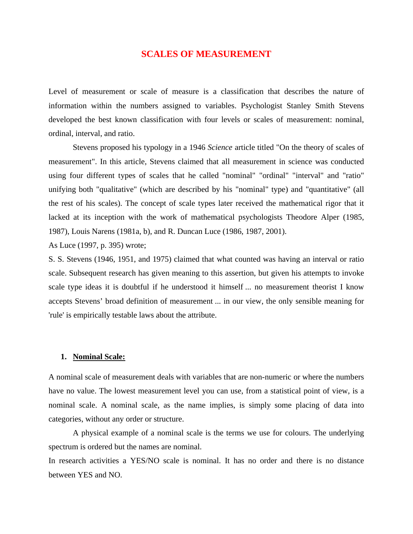# **SCALES OF MEASUREMENT**

Level of measurement or scale of measure is a classification that describes the nature of information within the numbers assigned to variables. Psychologist Stanley Smith Stevens developed the best known classification with four levels or scales of measurement: nominal, ordinal, interval, and ratio.

Stevens proposed his typology in a 1946 *Science* article titled "On the theory of scales of measurement". In this article, Stevens claimed that all measurement in science was conducted using four different types of scales that he called "nominal" "ordinal" "interval" and "ratio" unifying both "qualitative" (which are described by his "nominal" type) and "quantitative" (all the rest of his scales). The concept of scale types later received the mathematical rigor that it lacked at its inception with the work of mathematical psychologists Theodore Alper (1985, 1987), Louis Narens (1981a, b), and R. Duncan Luce (1986, 1987, 2001).

As Luce (1997, p. 395) wrote;

S. S. Stevens (1946, 1951, and 1975) claimed that what counted was having an interval or ratio scale. Subsequent research has given meaning to this assertion, but given his attempts to invoke scale type ideas it is doubtful if he understood it himself ... no measurement theorist I know accepts Stevens' broad definition of measurement ... in our view, the only sensible meaning for 'rule' is empirically testable laws about the attribute.

### **1. Nominal Scale:**

A nominal scale of measurement deals with variables that are non-numeric or where the numbers have no value. The lowest measurement level you can use, from a statistical point of view, is a nominal scale. A nominal scale, as the name implies, is simply some placing of data into categories, without any order or structure.

A physical example of a nominal scale is the terms we use for colours. The underlying spectrum is ordered but the names are nominal.

In research activities a YES/NO scale is nominal. It has no order and there is no distance between YES and NO.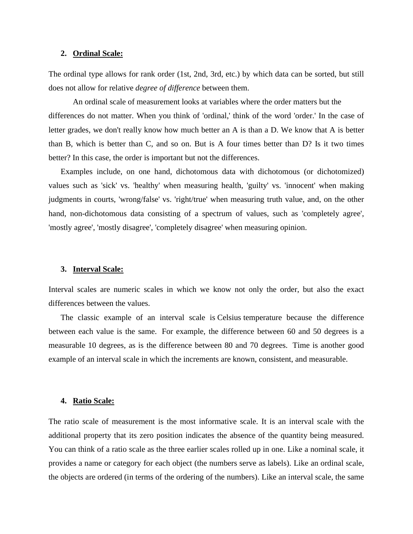#### **2. Ordinal Scale:**

The ordinal type allows for rank order (1st, 2nd, 3rd, etc.) by which data can be sorted, but still does not allow for relative *degree of difference* between them.

An ordinal scale of measurement looks at variables where the order matters but the differences do not matter. When you think of 'ordinal,' think of the word 'order.' In the case of letter grades, we don't really know how much better an A is than a D. We know that A is better than B, which is better than C, and so on. But is A four times better than D? Is it two times better? In this case, the order is important but not the differences.

Examples include, on one hand, dichotomous data with dichotomous (or dichotomized) values such as 'sick' vs. 'healthy' when measuring health, 'guilty' vs. 'innocent' when making judgments in courts, 'wrong/false' vs. 'right/true' when measuring truth value, and, on the other hand, non-dichotomous data consisting of a spectrum of values, such as 'completely agree', 'mostly agree', 'mostly disagree', 'completely disagree' when measuring opinion.

#### **3. Interval Scale:**

Interval scales are numeric scales in which we know not only the order, but also the exact differences between the values.

The classic example of an interval scale is Celsius temperature because the difference between each value is the same. For example, the difference between 60 and 50 degrees is a measurable 10 degrees, as is the difference between 80 and 70 degrees. Time is another good example of an interval scale in which the increments are known, consistent, and measurable.

## **4. Ratio Scale:**

The ratio scale of measurement is the most informative scale. It is an interval scale with the additional property that its zero position indicates the absence of the quantity being measured. You can think of a ratio scale as the three earlier scales rolled up in one. Like a nominal scale, it provides a name or category for each object (the numbers serve as labels). Like an ordinal scale, the objects are ordered (in terms of the ordering of the numbers). Like an interval scale, the same